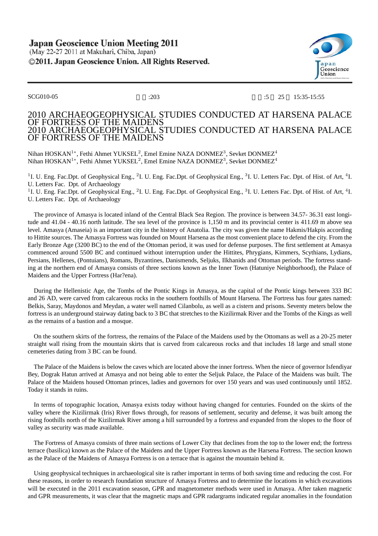

## SCG010-05 :203 :203 :5 25 15:35-15:55

## 2010 ARCHAEOGEOPHYSICAL STUDIES CONDUCTED AT HARSENA PALACE OF FORTRESS OF THE MAIDENS 2010 ARCHAEOGEOPHYSICAL STUDIES CONDUCTED AT HARSENA PALACE OF FORTRESS OF THE MAIDENS

Nihan HOSKAN<sup>1</sup>\*, Fethi Ahmet YUKSEL<sup>2</sup>, Emel Emine NAZA DONMEZ<sup>3</sup>, Sevket DONMEZ<sup>4</sup> Nihan HOSKAN<sup>1</sup>\*, Fethi Ahmet YUKSEL<sup>2</sup>, Emel Emine NAZA DONMEZ<sup>3</sup>, Sevket DONMEZ<sup>4</sup>

<sup>1</sup>I. U. Eng. Fac.Dpt. of Geophysical Eng., <sup>2</sup>I. U. Eng. Fac.Dpt. of Geophysical Eng., <sup>3</sup>I. U. Letters Fac. Dpt. of Hist. of Art, <sup>4</sup>I. U. Letters Fac. Dpt. of Archaeology

<sup>1</sup>I. U. Eng. Fac.Dpt. of Geophysical Eng., <sup>2</sup>I. U. Eng. Fac.Dpt. of Geophysical Eng., <sup>3</sup>I. U. Letters Fac. Dpt. of Hist. of Art, <sup>4</sup>I. U. Letters Fac. Dpt. of Archaeology

The province of Amasya is located inland of the Central Black Sea Region. The province is between 34.57- 36.31 east longitude and 41.04 - 40.16 north latitude. The sea level of the province is 1,150 m and its provincial center is 411.69 m above sea level. Amasya (Amaseia) is an important city in the history of Anatolia. The city was given the name Hakmis/Hakpis according to Hittite sources. The Amasya Fortress was founded on Mount Harsena as the most convenient place to defend the city. From the Early Bronze Age (3200 BC) to the end of the Ottoman period, it was used for defense purposes. The first settlement at Amasya commenced around 5500 BC and continued without interruption under the Hittites, Phrygians, Kimmers, Scythians, Lydians, Persians, Hellenes, (Pontuians), Romans, Byzantines, Danismends, Seljuks, Ilkhanids and Ottoman periods. The fortress standing at the northern end of Amasya consists of three sections known as the Inner Town (Hatuniye Neighborhood), the Palace of Maidens and the Upper Fortress (Har?ena).

During the Hellenistic Age, the Tombs of the Pontic Kings in Amasya, as the capital of the Pontic kings between 333 BC and 26 AD, were carved from calcareous rocks in the southern foothills of Mount Harsena. The Fortress has four gates named: Belkis, Saray, Maydonos and Meydan, a water well named Cilanbolu, as well as a cistern and prisons. Seventy meters below the fortress is an underground stairway dating back to 3 BC that stretches to the Kizilirmak River and the Tombs of the Kings as well as the remains of a bastion and a mosque.

On the southern skirts of the fortress, the remains of the Palace of the Maidens used by the Ottomans as well as a 20-25 meter straight wall rising from the mountain skirts that is carved from calcareous rocks and that includes 18 large and small stone cemeteries dating from 3 BC can be found.

The Palace of the Maidens is below the caves which are located above the inner fortress. When the niece of governor Isfendiyar Bey, Dograk Hatun arrived at Amasya and not being able to enter the Seljuk Palace, the Palace of the Maidens was built. The Palace of the Maidens housed Ottoman princes, ladies and governors for over 150 years and was used continuously until 1852. Today it stands in ruins.

In terms of topographic location, Amasya exists today without having changed for centuries. Founded on the skirts of the valley where the Kizilirmak (Iris) River flows through, for reasons of settlement, security and defense, it was built among the rising foothills north of the Kizilirmak River among a hill surrounded by a fortress and expanded from the slopes to the floor of valley as security was made available.

The Fortress of Amasya consists of three main sections of Lower City that declines from the top to the lower end; the fortress terrace (basilica) known as the Palace of the Maidens and the Upper Fortress known as the Harsena Fortress. The section known as the Palace of the Maidens of Amasya Fortress is on a terrace that is against the mountain behind it.

Using geophysical techniques in archaeological site is rather important in terms of both saving time and reducing the cost. For these reasons, in order to research foundation structure of Amasya Fortress and to determine the locations in which excavations will be executed in the 2011 excavation season, GPR and magnetometer methods were used in Amasya. After taken magnetic and GPR measurements, it was clear that the magnetic maps and GPR radargrams indicated regular anomalies in the foundation